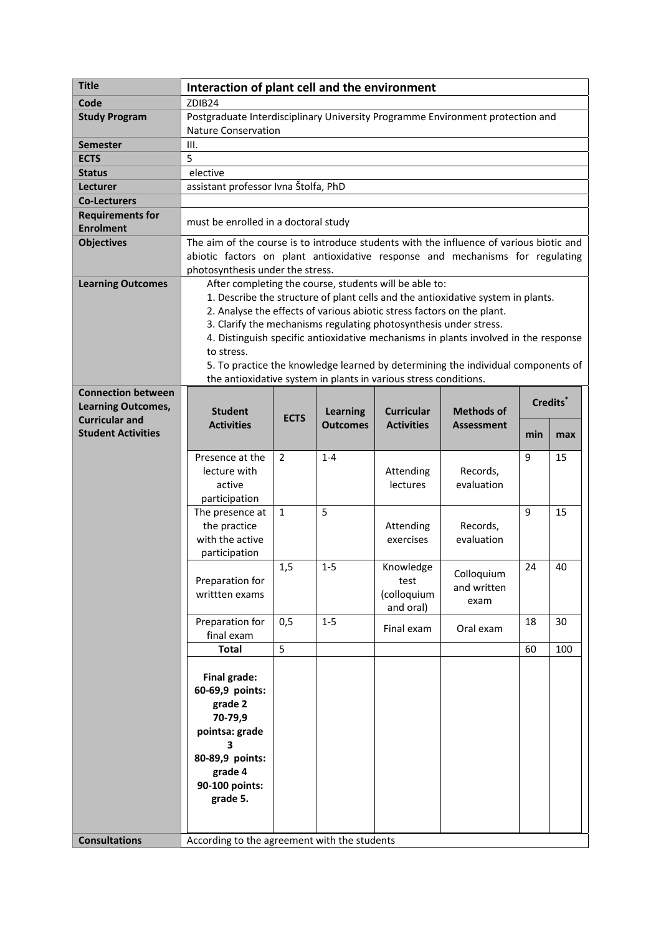| <b>Title</b>                                | Interaction of plant cell and the environment                                           |                                              |                 |                                                                  |                                                                                     |                      |     |
|---------------------------------------------|-----------------------------------------------------------------------------------------|----------------------------------------------|-----------------|------------------------------------------------------------------|-------------------------------------------------------------------------------------|----------------------|-----|
| Code                                        | ZDIB24                                                                                  |                                              |                 |                                                                  |                                                                                     |                      |     |
| <b>Study Program</b>                        | Postgraduate Interdisciplinary University Programme Environment protection and          |                                              |                 |                                                                  |                                                                                     |                      |     |
|                                             | <b>Nature Conservation</b>                                                              |                                              |                 |                                                                  |                                                                                     |                      |     |
| <b>Semester</b>                             | Ш.                                                                                      |                                              |                 |                                                                  |                                                                                     |                      |     |
| <b>ECTS</b>                                 | 5                                                                                       |                                              |                 |                                                                  |                                                                                     |                      |     |
| <b>Status</b>                               | elective                                                                                |                                              |                 |                                                                  |                                                                                     |                      |     |
| Lecturer                                    | assistant professor Ivna Štolfa, PhD                                                    |                                              |                 |                                                                  |                                                                                     |                      |     |
| <b>Co-Lecturers</b>                         |                                                                                         |                                              |                 |                                                                  |                                                                                     |                      |     |
| <b>Requirements for</b><br><b>Enrolment</b> | must be enrolled in a doctoral study                                                    |                                              |                 |                                                                  |                                                                                     |                      |     |
| <b>Objectives</b>                           | The aim of the course is to introduce students with the influence of various biotic and |                                              |                 |                                                                  |                                                                                     |                      |     |
|                                             | abiotic factors on plant antioxidative response and mechanisms for regulating           |                                              |                 |                                                                  |                                                                                     |                      |     |
|                                             | photosynthesis under the stress.                                                        |                                              |                 |                                                                  |                                                                                     |                      |     |
| <b>Learning Outcomes</b>                    | After completing the course, students will be able to:                                  |                                              |                 |                                                                  |                                                                                     |                      |     |
|                                             | 1. Describe the structure of plant cells and the antioxidative system in plants.        |                                              |                 |                                                                  |                                                                                     |                      |     |
|                                             | 2. Analyse the effects of various abiotic stress factors on the plant.                  |                                              |                 |                                                                  |                                                                                     |                      |     |
|                                             | 3. Clarify the mechanisms regulating photosynthesis under stress.                       |                                              |                 |                                                                  |                                                                                     |                      |     |
|                                             |                                                                                         |                                              |                 |                                                                  | 4. Distinguish specific antioxidative mechanisms in plants involved in the response |                      |     |
|                                             | to stress.                                                                              |                                              |                 |                                                                  |                                                                                     |                      |     |
|                                             | 5. To practice the knowledge learned by determining the individual components of        |                                              |                 |                                                                  |                                                                                     |                      |     |
|                                             |                                                                                         |                                              |                 | the antioxidative system in plants in various stress conditions. |                                                                                     |                      |     |
| <b>Connection between</b>                   |                                                                                         |                                              |                 |                                                                  |                                                                                     | Credits <sup>*</sup> |     |
| <b>Learning Outcomes,</b>                   | <b>Student</b>                                                                          |                                              | <b>Learning</b> | <b>Curricular</b>                                                | <b>Methods of</b>                                                                   |                      |     |
| <b>Curricular and</b>                       | <b>Activities</b>                                                                       | <b>ECTS</b>                                  | <b>Outcomes</b> | <b>Activities</b>                                                | <b>Assessment</b>                                                                   |                      |     |
| <b>Student Activities</b>                   |                                                                                         |                                              |                 |                                                                  |                                                                                     | min                  | max |
|                                             | Presence at the                                                                         | $\overline{2}$                               | $1 - 4$         |                                                                  |                                                                                     | 9                    | 15  |
|                                             | lecture with                                                                            |                                              |                 | Attending                                                        | Records,                                                                            |                      |     |
|                                             | active                                                                                  |                                              |                 | lectures                                                         | evaluation                                                                          |                      |     |
|                                             | participation                                                                           |                                              |                 |                                                                  |                                                                                     |                      |     |
|                                             | The presence at                                                                         | $\mathbf{1}$                                 | 5               |                                                                  |                                                                                     | 9                    | 15  |
|                                             | the practice                                                                            |                                              |                 | Attending                                                        | Records,                                                                            |                      |     |
|                                             | with the active                                                                         |                                              |                 | exercises                                                        | evaluation                                                                          |                      |     |
|                                             | participation                                                                           |                                              |                 |                                                                  |                                                                                     |                      |     |
|                                             |                                                                                         | 1,5                                          | $1 - 5$         | Knowledge                                                        |                                                                                     | 24                   | 40  |
|                                             | Preparation for                                                                         |                                              |                 | test                                                             | Colloquium                                                                          |                      |     |
|                                             | writtten exams                                                                          |                                              |                 | (colloquium                                                      | and written                                                                         |                      |     |
|                                             |                                                                                         |                                              |                 | and oral)                                                        | exam                                                                                |                      |     |
|                                             | Preparation for                                                                         | 0,5                                          | $1 - 5$         | Final exam                                                       |                                                                                     | 18                   | 30  |
|                                             | final exam                                                                              |                                              |                 |                                                                  | Oral exam                                                                           |                      |     |
|                                             | <b>Total</b>                                                                            | 5                                            |                 |                                                                  |                                                                                     | 60                   | 100 |
|                                             |                                                                                         |                                              |                 |                                                                  |                                                                                     |                      |     |
|                                             | Final grade:                                                                            |                                              |                 |                                                                  |                                                                                     |                      |     |
|                                             | 60-69,9 points:                                                                         |                                              |                 |                                                                  |                                                                                     |                      |     |
|                                             | grade 2                                                                                 |                                              |                 |                                                                  |                                                                                     |                      |     |
|                                             | 70-79,9                                                                                 |                                              |                 |                                                                  |                                                                                     |                      |     |
|                                             | pointsa: grade                                                                          |                                              |                 |                                                                  |                                                                                     |                      |     |
|                                             | 3                                                                                       |                                              |                 |                                                                  |                                                                                     |                      |     |
|                                             | 80-89,9 points:                                                                         |                                              |                 |                                                                  |                                                                                     |                      |     |
|                                             | grade 4                                                                                 |                                              |                 |                                                                  |                                                                                     |                      |     |
|                                             | 90-100 points:                                                                          |                                              |                 |                                                                  |                                                                                     |                      |     |
|                                             | grade 5.                                                                                |                                              |                 |                                                                  |                                                                                     |                      |     |
|                                             |                                                                                         |                                              |                 |                                                                  |                                                                                     |                      |     |
| <b>Consultations</b>                        |                                                                                         | According to the agreement with the students |                 |                                                                  |                                                                                     |                      |     |
|                                             |                                                                                         |                                              |                 |                                                                  |                                                                                     |                      |     |